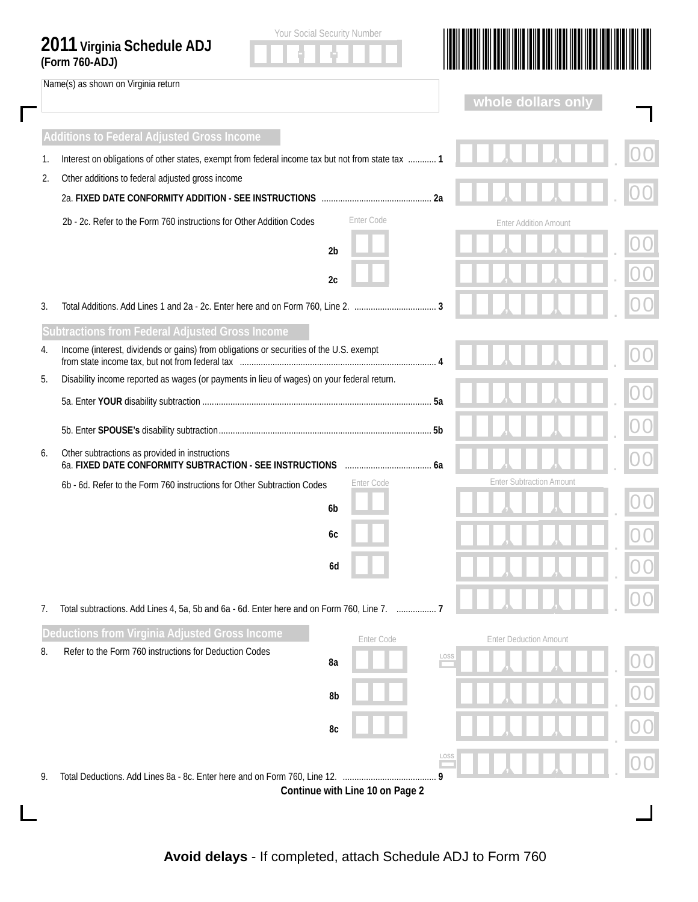|    | Name(s) as shown on Virginia return                                                                        |                |            |      | whole dollars on              |                                 |  |
|----|------------------------------------------------------------------------------------------------------------|----------------|------------|------|-------------------------------|---------------------------------|--|
|    |                                                                                                            |                |            |      |                               |                                 |  |
|    | <b>Additions to Federal Adjusted Gross Income</b>                                                          |                |            |      |                               |                                 |  |
| 1. | Interest on obligations of other states, exempt from federal income tax but not from state tax  1          |                |            |      |                               |                                 |  |
| 2. | Other additions to federal adjusted gross income                                                           | 2a             |            |      |                               |                                 |  |
|    | 2b - 2c. Refer to the Form 760 instructions for Other Addition Codes                                       |                | Enter Code |      |                               | <b>Enter Addition Amount</b>    |  |
|    |                                                                                                            |                |            |      |                               |                                 |  |
|    |                                                                                                            | 2 <sub>b</sub> |            |      |                               |                                 |  |
|    |                                                                                                            | 2c             |            |      |                               |                                 |  |
| 3. |                                                                                                            |                |            |      |                               |                                 |  |
|    | Subtractions from Federal Adjusted Gross Income                                                            |                |            |      |                               |                                 |  |
| 4. | Income (interest, dividends or gains) from obligations or securities of the U.S. exempt                    |                |            |      |                               |                                 |  |
| 5. | Disability income reported as wages (or payments in lieu of wages) on your federal return.                 |                |            |      |                               |                                 |  |
|    |                                                                                                            |                |            |      |                               |                                 |  |
|    |                                                                                                            |                |            |      |                               |                                 |  |
| 6. | Other subtractions as provided in instructions<br>6a. FIXED DATE CONFORMITY SUBTRACTION - SEE INSTRUCTIONS |                |            | 6a   |                               |                                 |  |
|    | 6b - 6d. Refer to the Form 760 instructions for Other Subtraction Codes                                    |                | Enter Code |      |                               | <b>Enter Subtraction Amount</b> |  |
|    |                                                                                                            | 6 <sub>b</sub> |            |      |                               |                                 |  |
|    |                                                                                                            | 6с             |            |      |                               |                                 |  |
|    |                                                                                                            | 6d             |            |      |                               |                                 |  |
|    |                                                                                                            |                |            |      |                               |                                 |  |
| 7. | Total subtractions. Add Lines 4, 5a, 5b and 6a - 6d. Enter here and on Form 760, Line 7.  7                |                |            |      |                               |                                 |  |
|    | Deductions from Virginia Adjusted Gross Income                                                             |                | Enter Code |      | <b>Enter Deduction Amount</b> |                                 |  |
| 8. | Refer to the Form 760 instructions for Deduction Codes                                                     | 8a             |            | LOSS |                               |                                 |  |
|    |                                                                                                            |                |            |      |                               |                                 |  |
|    |                                                                                                            | 8b             |            |      |                               |                                 |  |
|    |                                                                                                            | 8c             |            |      |                               |                                 |  |
|    |                                                                                                            |                |            | LOSS |                               |                                 |  |
| 9. | Total Deductions. Add Lines 8a - 8c. Enter here and on Form 760, Line 12.                                  |                |            |      |                               |                                 |  |